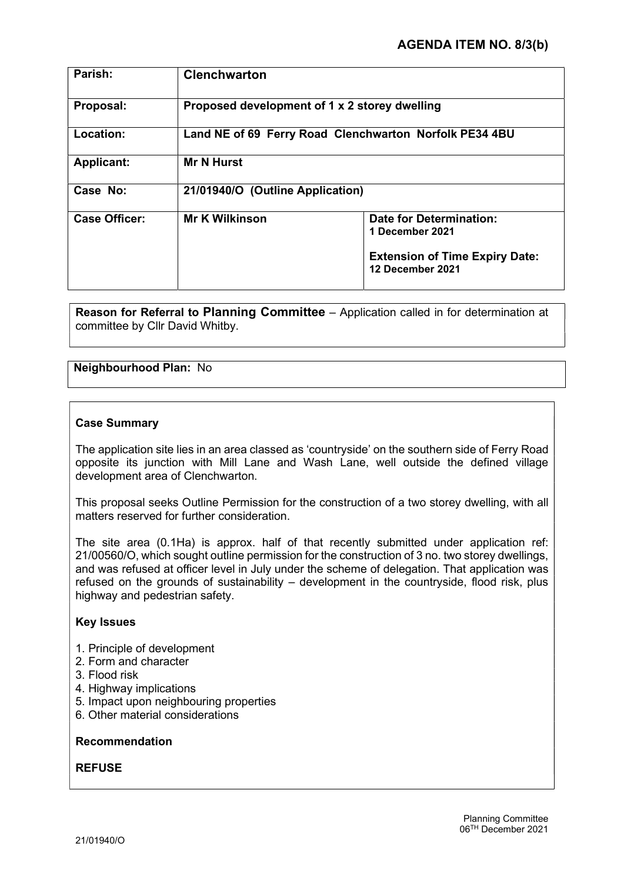| Parish:              | <b>Clenchwarton</b>                                    |                                                                                                                |
|----------------------|--------------------------------------------------------|----------------------------------------------------------------------------------------------------------------|
| Proposal:            | Proposed development of 1 x 2 storey dwelling          |                                                                                                                |
| Location:            | Land NE of 69 Ferry Road Clenchwarton Norfolk PE34 4BU |                                                                                                                |
| <b>Applicant:</b>    | <b>Mr N Hurst</b>                                      |                                                                                                                |
| Case No:             | 21/01940/O (Outline Application)                       |                                                                                                                |
| <b>Case Officer:</b> | <b>Mr K Wilkinson</b>                                  | <b>Date for Determination:</b><br>1 December 2021<br><b>Extension of Time Expiry Date:</b><br>12 December 2021 |

Reason for Referral to Planning Committee – Application called in for determination at committee by Cllr David Whitby.

# Neighbourhood Plan: No

#### Case Summary

The application site lies in an area classed as 'countryside' on the southern side of Ferry Road opposite its junction with Mill Lane and Wash Lane, well outside the defined village development area of Clenchwarton.

This proposal seeks Outline Permission for the construction of a two storey dwelling, with all matters reserved for further consideration.

The site area (0.1Ha) is approx. half of that recently submitted under application ref: 21/00560/O, which sought outline permission for the construction of 3 no. two storey dwellings, and was refused at officer level in July under the scheme of delegation. That application was refused on the grounds of sustainability – development in the countryside, flood risk, plus highway and pedestrian safety.

#### Key Issues

- 1. Principle of development
- 2. Form and character
- 3. Flood risk
- 4. Highway implications
- 5. Impact upon neighbouring properties
- 6. Other material considerations

### Recommendation

#### REFUSE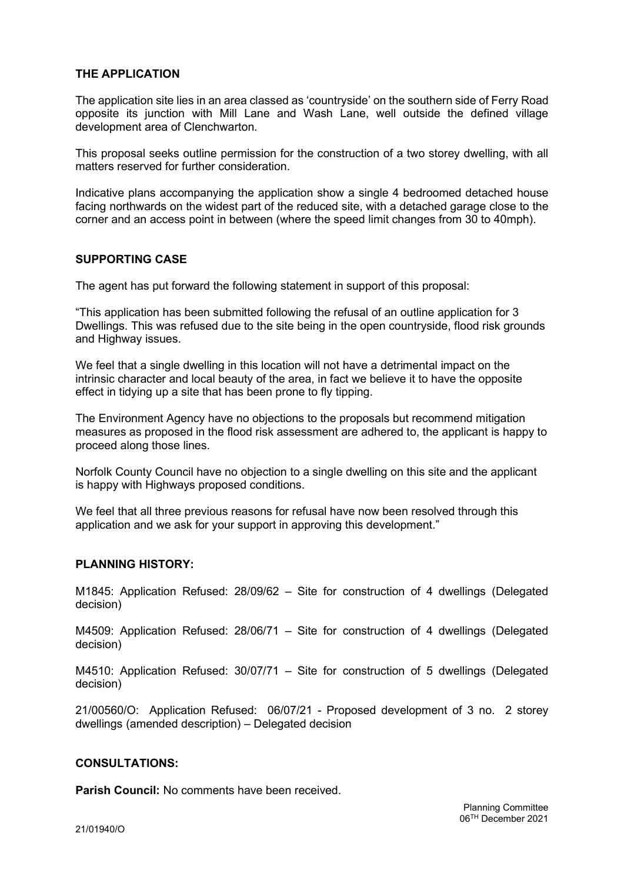# THE APPLICATION

The application site lies in an area classed as 'countryside' on the southern side of Ferry Road opposite its junction with Mill Lane and Wash Lane, well outside the defined village development area of Clenchwarton.

This proposal seeks outline permission for the construction of a two storey dwelling, with all matters reserved for further consideration.

Indicative plans accompanying the application show a single 4 bedroomed detached house facing northwards on the widest part of the reduced site, with a detached garage close to the corner and an access point in between (where the speed limit changes from 30 to 40mph).

#### SUPPORTING CASE

The agent has put forward the following statement in support of this proposal:

"This application has been submitted following the refusal of an outline application for 3 Dwellings. This was refused due to the site being in the open countryside, flood risk grounds and Highway issues.

We feel that a single dwelling in this location will not have a detrimental impact on the intrinsic character and local beauty of the area, in fact we believe it to have the opposite effect in tidying up a site that has been prone to fly tipping.

The Environment Agency have no objections to the proposals but recommend mitigation measures as proposed in the flood risk assessment are adhered to, the applicant is happy to proceed along those lines.

Norfolk County Council have no objection to a single dwelling on this site and the applicant is happy with Highways proposed conditions.

We feel that all three previous reasons for refusal have now been resolved through this application and we ask for your support in approving this development."

# PLANNING HISTORY:

M1845: Application Refused: 28/09/62 – Site for construction of 4 dwellings (Delegated decision)

M4509: Application Refused: 28/06/71 – Site for construction of 4 dwellings (Delegated decision)

M4510: Application Refused: 30/07/71 – Site for construction of 5 dwellings (Delegated decision)

21/00560/O: Application Refused: 06/07/21 - Proposed development of 3 no. 2 storey dwellings (amended description) – Delegated decision

#### CONSULTATIONS:

Parish Council: No comments have been received.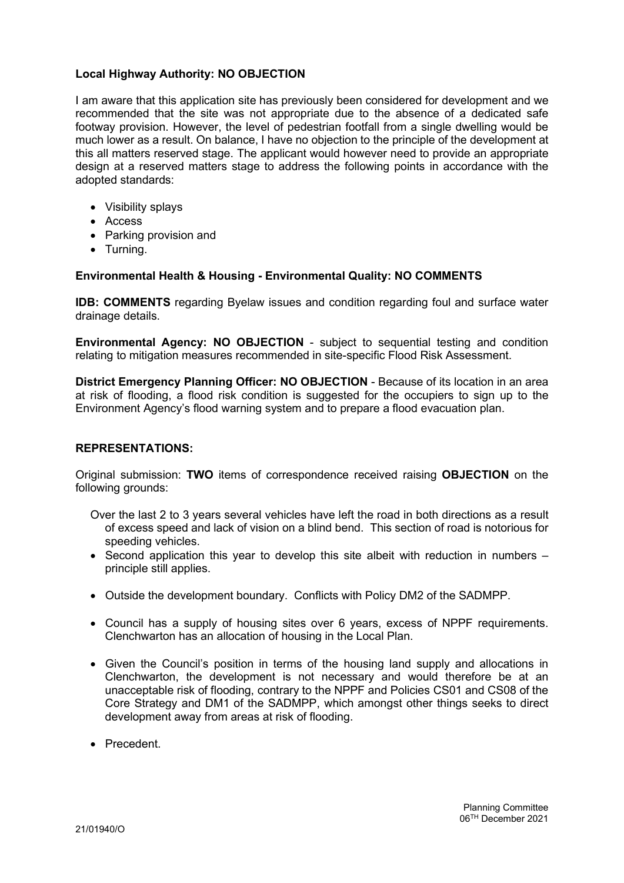# Local Highway Authority: NO OBJECTION

I am aware that this application site has previously been considered for development and we recommended that the site was not appropriate due to the absence of a dedicated safe footway provision. However, the level of pedestrian footfall from a single dwelling would be much lower as a result. On balance, I have no objection to the principle of the development at this all matters reserved stage. The applicant would however need to provide an appropriate design at a reserved matters stage to address the following points in accordance with the adopted standards:

- Visibility splays
- Access
- Parking provision and
- Turning.

# Environmental Health & Housing - Environmental Quality: NO COMMENTS

IDB: COMMENTS regarding Byelaw issues and condition regarding foul and surface water drainage details.

Environmental Agency: NO OBJECTION - subject to sequential testing and condition relating to mitigation measures recommended in site-specific Flood Risk Assessment.

District Emergency Planning Officer: NO OBJECTION - Because of its location in an area at risk of flooding, a flood risk condition is suggested for the occupiers to sign up to the Environment Agency's flood warning system and to prepare a flood evacuation plan.

# REPRESENTATIONS:

Original submission: TWO items of correspondence received raising OBJECTION on the following grounds:

- Over the last 2 to 3 years several vehicles have left the road in both directions as a result of excess speed and lack of vision on a blind bend. This section of road is notorious for speeding vehicles.
- Second application this year to develop this site albeit with reduction in numbers principle still applies.
- Outside the development boundary. Conflicts with Policy DM2 of the SADMPP.
- Council has a supply of housing sites over 6 years, excess of NPPF requirements. Clenchwarton has an allocation of housing in the Local Plan.
- Given the Council's position in terms of the housing land supply and allocations in Clenchwarton, the development is not necessary and would therefore be at an unacceptable risk of flooding, contrary to the NPPF and Policies CS01 and CS08 of the Core Strategy and DM1 of the SADMPP, which amongst other things seeks to direct development away from areas at risk of flooding.
- **•** Precedent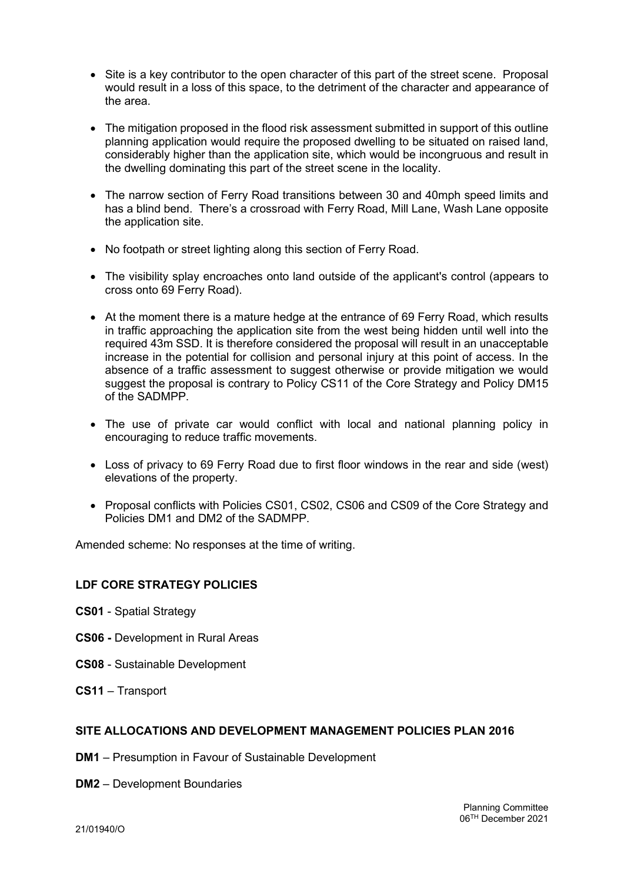- Site is a key contributor to the open character of this part of the street scene. Proposal would result in a loss of this space, to the detriment of the character and appearance of the area.
- The mitigation proposed in the flood risk assessment submitted in support of this outline planning application would require the proposed dwelling to be situated on raised land, considerably higher than the application site, which would be incongruous and result in the dwelling dominating this part of the street scene in the locality.
- The narrow section of Ferry Road transitions between 30 and 40mph speed limits and has a blind bend. There's a crossroad with Ferry Road, Mill Lane, Wash Lane opposite the application site.
- No footpath or street lighting along this section of Ferry Road.
- The visibility splay encroaches onto land outside of the applicant's control (appears to cross onto 69 Ferry Road).
- At the moment there is a mature hedge at the entrance of 69 Ferry Road, which results in traffic approaching the application site from the west being hidden until well into the required 43m SSD. It is therefore considered the proposal will result in an unacceptable increase in the potential for collision and personal injury at this point of access. In the absence of a traffic assessment to suggest otherwise or provide mitigation we would suggest the proposal is contrary to Policy CS11 of the Core Strategy and Policy DM15 of the SADMPP.
- The use of private car would conflict with local and national planning policy in encouraging to reduce traffic movements.
- Loss of privacy to 69 Ferry Road due to first floor windows in the rear and side (west) elevations of the property.
- Proposal conflicts with Policies CS01, CS02, CS06 and CS09 of the Core Strategy and Policies DM1 and DM2 of the SADMPP.

Amended scheme: No responses at the time of writing.

# LDF CORE STRATEGY POLICIES

- CS01 Spatial Strategy
- CS06 Development in Rural Areas
- CS08 Sustainable Development
- CS11 Transport

#### SITE ALLOCATIONS AND DEVELOPMENT MANAGEMENT POLICIES PLAN 2016

- DM1 Presumption in Favour of Sustainable Development
- DM2 Development Boundaries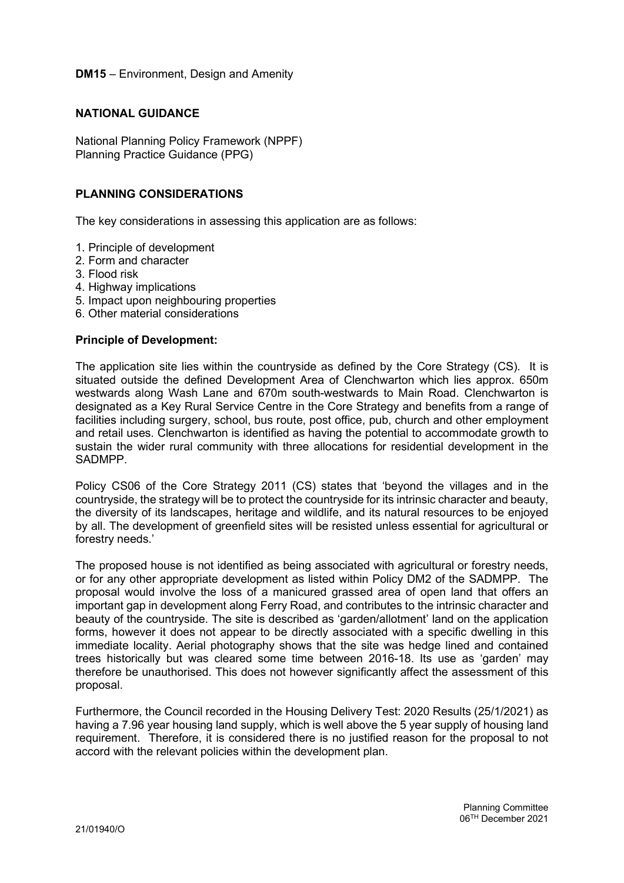## DM15 – Environment, Design and Amenity

#### NATIONAL GUIDANCE

National Planning Policy Framework (NPPF) Planning Practice Guidance (PPG)

## PLANNING CONSIDERATIONS

The key considerations in assessing this application are as follows:

- 1. Principle of development
- 2. Form and character
- 3. Flood risk
- 4. Highway implications
- 5. Impact upon neighbouring properties
- 6. Other material considerations

#### Principle of Development:

The application site lies within the countryside as defined by the Core Strategy (CS). It is situated outside the defined Development Area of Clenchwarton which lies approx. 650m westwards along Wash Lane and 670m south-westwards to Main Road. Clenchwarton is designated as a Key Rural Service Centre in the Core Strategy and benefits from a range of facilities including surgery, school, bus route, post office, pub, church and other employment and retail uses. Clenchwarton is identified as having the potential to accommodate growth to sustain the wider rural community with three allocations for residential development in the SADMPP.

Policy CS06 of the Core Strategy 2011 (CS) states that 'beyond the villages and in the countryside, the strategy will be to protect the countryside for its intrinsic character and beauty, the diversity of its landscapes, heritage and wildlife, and its natural resources to be enjoyed by all. The development of greenfield sites will be resisted unless essential for agricultural or forestry needs.'

The proposed house is not identified as being associated with agricultural or forestry needs, or for any other appropriate development as listed within Policy DM2 of the SADMPP. The proposal would involve the loss of a manicured grassed area of open land that offers an important gap in development along Ferry Road, and contributes to the intrinsic character and beauty of the countryside. The site is described as 'garden/allotment' land on the application forms, however it does not appear to be directly associated with a specific dwelling in this immediate locality. Aerial photography shows that the site was hedge lined and contained trees historically but was cleared some time between 2016-18. Its use as 'garden' may therefore be unauthorised. This does not however significantly affect the assessment of this proposal.

Furthermore, the Council recorded in the Housing Delivery Test: 2020 Results (25/1/2021) as having a 7.96 year housing land supply, which is well above the 5 year supply of housing land requirement. Therefore, it is considered there is no justified reason for the proposal to not accord with the relevant policies within the development plan.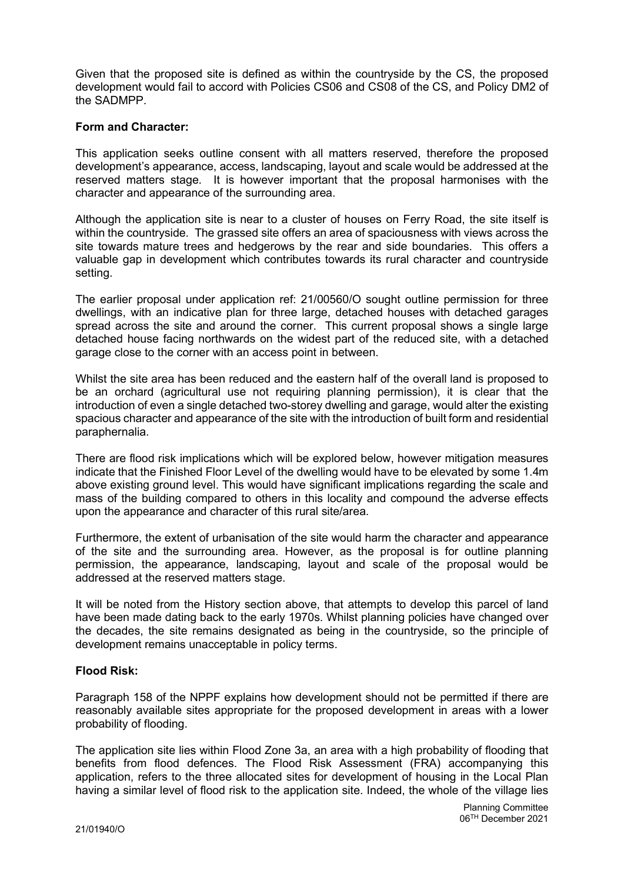Given that the proposed site is defined as within the countryside by the CS, the proposed development would fail to accord with Policies CS06 and CS08 of the CS, and Policy DM2 of the SADMPP.

# Form and Character:

This application seeks outline consent with all matters reserved, therefore the proposed development's appearance, access, landscaping, layout and scale would be addressed at the reserved matters stage. It is however important that the proposal harmonises with the character and appearance of the surrounding area.

Although the application site is near to a cluster of houses on Ferry Road, the site itself is within the countryside. The grassed site offers an area of spaciousness with views across the site towards mature trees and hedgerows by the rear and side boundaries. This offers a valuable gap in development which contributes towards its rural character and countryside setting.

The earlier proposal under application ref: 21/00560/O sought outline permission for three dwellings, with an indicative plan for three large, detached houses with detached garages spread across the site and around the corner. This current proposal shows a single large detached house facing northwards on the widest part of the reduced site, with a detached garage close to the corner with an access point in between.

Whilst the site area has been reduced and the eastern half of the overall land is proposed to be an orchard (agricultural use not requiring planning permission), it is clear that the introduction of even a single detached two-storey dwelling and garage, would alter the existing spacious character and appearance of the site with the introduction of built form and residential paraphernalia.

There are flood risk implications which will be explored below, however mitigation measures indicate that the Finished Floor Level of the dwelling would have to be elevated by some 1.4m above existing ground level. This would have significant implications regarding the scale and mass of the building compared to others in this locality and compound the adverse effects upon the appearance and character of this rural site/area.

Furthermore, the extent of urbanisation of the site would harm the character and appearance of the site and the surrounding area. However, as the proposal is for outline planning permission, the appearance, landscaping, layout and scale of the proposal would be addressed at the reserved matters stage.

It will be noted from the History section above, that attempts to develop this parcel of land have been made dating back to the early 1970s. Whilst planning policies have changed over the decades, the site remains designated as being in the countryside, so the principle of development remains unacceptable in policy terms.

# Flood Risk:

Paragraph 158 of the NPPF explains how development should not be permitted if there are reasonably available sites appropriate for the proposed development in areas with a lower probability of flooding.

The application site lies within Flood Zone 3a, an area with a high probability of flooding that benefits from flood defences. The Flood Risk Assessment (FRA) accompanying this application, refers to the three allocated sites for development of housing in the Local Plan having a similar level of flood risk to the application site. Indeed, the whole of the village lies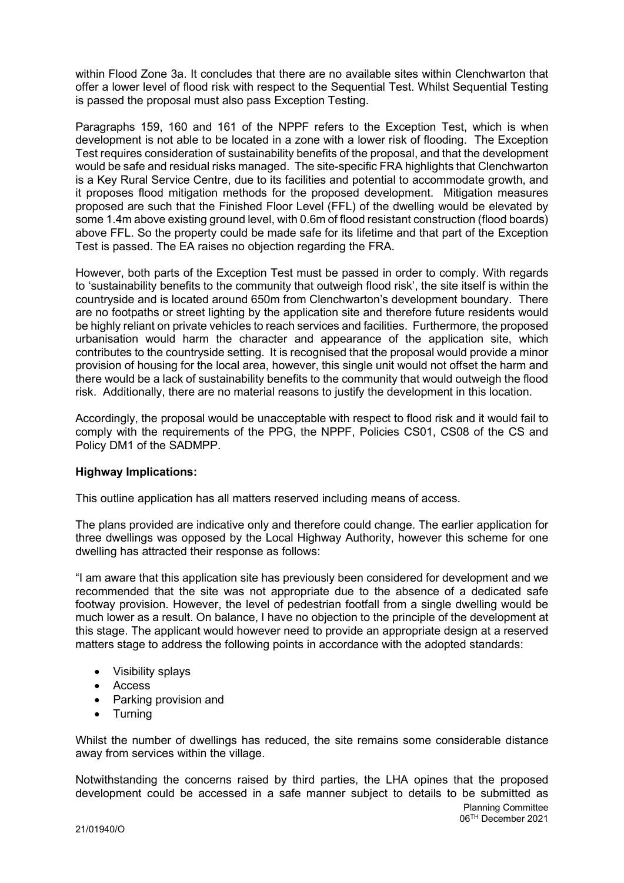within Flood Zone 3a. It concludes that there are no available sites within Clenchwarton that offer a lower level of flood risk with respect to the Sequential Test. Whilst Sequential Testing is passed the proposal must also pass Exception Testing.

Paragraphs 159, 160 and 161 of the NPPF refers to the Exception Test, which is when development is not able to be located in a zone with a lower risk of flooding. The Exception Test requires consideration of sustainability benefits of the proposal, and that the development would be safe and residual risks managed. The site-specific FRA highlights that Clenchwarton is a Key Rural Service Centre, due to its facilities and potential to accommodate growth, and it proposes flood mitigation methods for the proposed development. Mitigation measures proposed are such that the Finished Floor Level (FFL) of the dwelling would be elevated by some 1.4m above existing ground level, with 0.6m of flood resistant construction (flood boards) above FFL. So the property could be made safe for its lifetime and that part of the Exception Test is passed. The EA raises no objection regarding the FRA.

However, both parts of the Exception Test must be passed in order to comply. With regards to 'sustainability benefits to the community that outweigh flood risk', the site itself is within the countryside and is located around 650m from Clenchwarton's development boundary. There are no footpaths or street lighting by the application site and therefore future residents would be highly reliant on private vehicles to reach services and facilities. Furthermore, the proposed urbanisation would harm the character and appearance of the application site, which contributes to the countryside setting. It is recognised that the proposal would provide a minor provision of housing for the local area, however, this single unit would not offset the harm and there would be a lack of sustainability benefits to the community that would outweigh the flood risk. Additionally, there are no material reasons to justify the development in this location.

Accordingly, the proposal would be unacceptable with respect to flood risk and it would fail to comply with the requirements of the PPG, the NPPF, Policies CS01, CS08 of the CS and Policy DM1 of the SADMPP.

# Highway Implications:

This outline application has all matters reserved including means of access.

The plans provided are indicative only and therefore could change. The earlier application for three dwellings was opposed by the Local Highway Authority, however this scheme for one dwelling has attracted their response as follows:

"I am aware that this application site has previously been considered for development and we recommended that the site was not appropriate due to the absence of a dedicated safe footway provision. However, the level of pedestrian footfall from a single dwelling would be much lower as a result. On balance, I have no objection to the principle of the development at this stage. The applicant would however need to provide an appropriate design at a reserved matters stage to address the following points in accordance with the adopted standards:

- Visibility splays
- Access
- Parking provision and
- Turning

Whilst the number of dwellings has reduced, the site remains some considerable distance away from services within the village.

Notwithstanding the concerns raised by third parties, the LHA opines that the proposed development could be accessed in a safe manner subject to details to be submitted as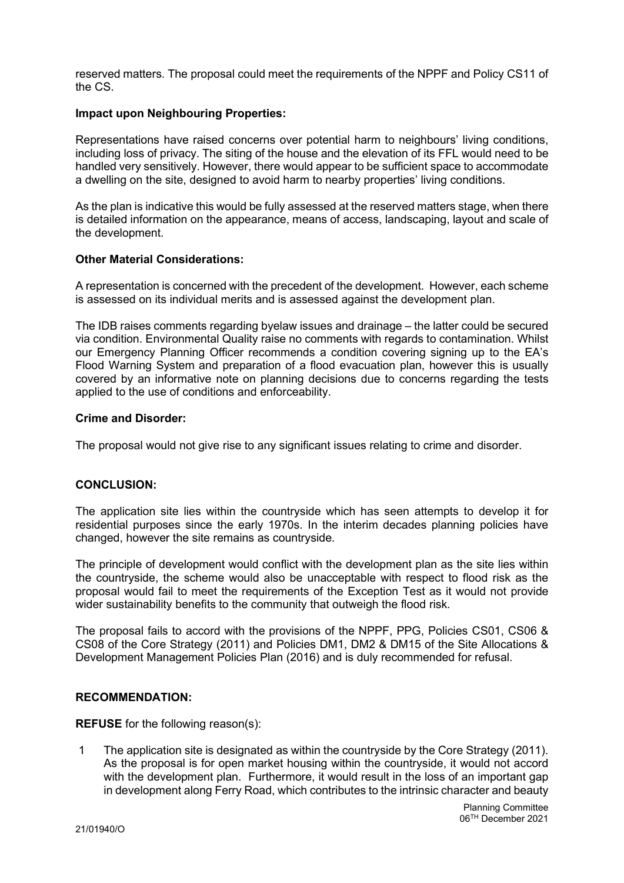reserved matters. The proposal could meet the requirements of the NPPF and Policy CS11 of the CS.

#### Impact upon Neighbouring Properties:

Representations have raised concerns over potential harm to neighbours' living conditions, including loss of privacy. The siting of the house and the elevation of its FFL would need to be handled very sensitively. However, there would appear to be sufficient space to accommodate a dwelling on the site, designed to avoid harm to nearby properties' living conditions.

As the plan is indicative this would be fully assessed at the reserved matters stage, when there is detailed information on the appearance, means of access, landscaping, layout and scale of the development.

#### Other Material Considerations:

A representation is concerned with the precedent of the development. However, each scheme is assessed on its individual merits and is assessed against the development plan.

The IDB raises comments regarding byelaw issues and drainage – the latter could be secured via condition. Environmental Quality raise no comments with regards to contamination. Whilst our Emergency Planning Officer recommends a condition covering signing up to the EA's Flood Warning System and preparation of a flood evacuation plan, however this is usually covered by an informative note on planning decisions due to concerns regarding the tests applied to the use of conditions and enforceability.

#### Crime and Disorder:

The proposal would not give rise to any significant issues relating to crime and disorder.

# CONCLUSION:

The application site lies within the countryside which has seen attempts to develop it for residential purposes since the early 1970s. In the interim decades planning policies have changed, however the site remains as countryside.

The principle of development would conflict with the development plan as the site lies within the countryside, the scheme would also be unacceptable with respect to flood risk as the proposal would fail to meet the requirements of the Exception Test as it would not provide wider sustainability benefits to the community that outweigh the flood risk.

The proposal fails to accord with the provisions of the NPPF, PPG, Policies CS01, CS06 & CS08 of the Core Strategy (2011) and Policies DM1, DM2 & DM15 of the Site Allocations & Development Management Policies Plan (2016) and is duly recommended for refusal.

#### RECOMMENDATION:

REFUSE for the following reason(s):

 1 The application site is designated as within the countryside by the Core Strategy (2011). As the proposal is for open market housing within the countryside, it would not accord with the development plan. Furthermore, it would result in the loss of an important gap in development along Ferry Road, which contributes to the intrinsic character and beauty